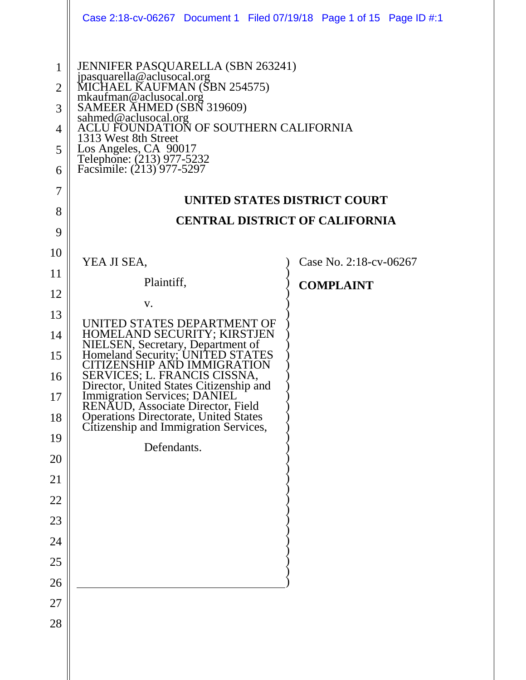|                                                                           | Case 2:18-cv-06267 Document 1 Filed 07/19/18 Page 1 of 15 Page ID #:1                                                                                                                                                                                                                                                                                                                                                                                       |  |  |  |                        |  |
|---------------------------------------------------------------------------|-------------------------------------------------------------------------------------------------------------------------------------------------------------------------------------------------------------------------------------------------------------------------------------------------------------------------------------------------------------------------------------------------------------------------------------------------------------|--|--|--|------------------------|--|
| $\mathbf{1}$<br>$\overline{2}$<br>3<br>4<br>5<br>6<br>$\overline{7}$<br>8 | <b>JENNIFER PASQUARELLA (SBN 263241)</b><br>jpasquarella@aclusocal.org<br>MICHAEL KAUFMAN (SBN 254575)<br>merinted KNOTMAN (BBN 254575)<br>mkaufman@aclusocal.org<br>SAMEER AHMED (SBN 319609)<br>sahmed@aclusocal.org<br>ACLU FOUNDATION OF SOUTHERN CALIFORNIA<br>1313 West 8th Street<br>Los Angeles, CA 90017<br>Telephone: (213) 977-5232<br>Facsimile: (213) 977-5297<br><b>UNITED STATES DISTRICT COURT</b><br><b>CENTRAL DISTRICT OF CALIFORNIA</b> |  |  |  |                        |  |
| 9<br>10                                                                   |                                                                                                                                                                                                                                                                                                                                                                                                                                                             |  |  |  |                        |  |
| 11                                                                        | YEA JI SEA,                                                                                                                                                                                                                                                                                                                                                                                                                                                 |  |  |  | Case No. 2:18-cv-06267 |  |
| 12                                                                        | Plaintiff,                                                                                                                                                                                                                                                                                                                                                                                                                                                  |  |  |  | <b>COMPLAINT</b>       |  |
| 13                                                                        | V.                                                                                                                                                                                                                                                                                                                                                                                                                                                          |  |  |  |                        |  |
| 14<br>15                                                                  | UNITED STATES DEPARTMENT OF<br>HOMELAND SECURITY; KIRSTJEN<br>NIELSEN, Secretary, Department of<br>Homeland Security; UNITED STATES                                                                                                                                                                                                                                                                                                                         |  |  |  |                        |  |
| 16<br>17                                                                  | TIZENSHIP AND IMMIGRATION<br>SERVICES; L. FRANCIS CISSNA,<br>Director, United States Citizenship and                                                                                                                                                                                                                                                                                                                                                        |  |  |  |                        |  |
| 18                                                                        | Immigration Services; DANIEL<br>RENAUD, Associate Director, Field<br>Operations Directorate, United States<br>Citizenship and Immigration Services,                                                                                                                                                                                                                                                                                                         |  |  |  |                        |  |
| 19                                                                        | Defendants.                                                                                                                                                                                                                                                                                                                                                                                                                                                 |  |  |  |                        |  |
| 20                                                                        |                                                                                                                                                                                                                                                                                                                                                                                                                                                             |  |  |  |                        |  |
| 21                                                                        |                                                                                                                                                                                                                                                                                                                                                                                                                                                             |  |  |  |                        |  |
| 22                                                                        |                                                                                                                                                                                                                                                                                                                                                                                                                                                             |  |  |  |                        |  |
| 23                                                                        |                                                                                                                                                                                                                                                                                                                                                                                                                                                             |  |  |  |                        |  |
| 24                                                                        |                                                                                                                                                                                                                                                                                                                                                                                                                                                             |  |  |  |                        |  |
| $25\,$                                                                    |                                                                                                                                                                                                                                                                                                                                                                                                                                                             |  |  |  |                        |  |
| 26                                                                        |                                                                                                                                                                                                                                                                                                                                                                                                                                                             |  |  |  |                        |  |
| $27\,$                                                                    |                                                                                                                                                                                                                                                                                                                                                                                                                                                             |  |  |  |                        |  |
| 28                                                                        |                                                                                                                                                                                                                                                                                                                                                                                                                                                             |  |  |  |                        |  |
|                                                                           |                                                                                                                                                                                                                                                                                                                                                                                                                                                             |  |  |  |                        |  |
|                                                                           |                                                                                                                                                                                                                                                                                                                                                                                                                                                             |  |  |  |                        |  |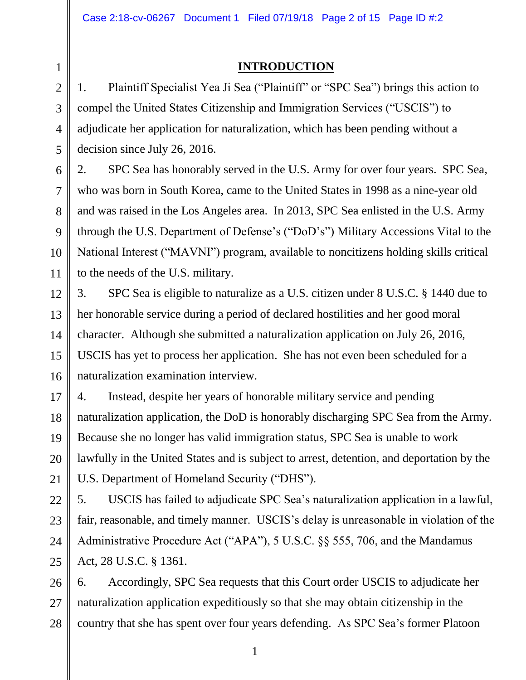## **INTRODUCTION**

1. Plaintiff Specialist Yea Ji Sea ("Plaintiff" or "SPC Sea") brings this action to compel the United States Citizenship and Immigration Services ("USCIS") to adjudicate her application for naturalization, which has been pending without a decision since July 26, 2016.

2. SPC Sea has honorably served in the U.S. Army for over four years. SPC Sea, who was born in South Korea, came to the United States in 1998 as a nine-year old and was raised in the Los Angeles area. In 2013, SPC Sea enlisted in the U.S. Army through the U.S. Department of Defense's ("DoD's") Military Accessions Vital to the National Interest ("MAVNI") program, available to noncitizens holding skills critical to the needs of the U.S. military.

3. SPC Sea is eligible to naturalize as a U.S. citizen under 8 U.S.C. § 1440 due to her honorable service during a period of declared hostilities and her good moral character. Although she submitted a naturalization application on July 26, 2016, USCIS has yet to process her application. She has not even been scheduled for a naturalization examination interview.

4. Instead, despite her years of honorable military service and pending naturalization application, the DoD is honorably discharging SPC Sea from the Army. Because she no longer has valid immigration status, SPC Sea is unable to work lawfully in the United States and is subject to arrest, detention, and deportation by the U.S. Department of Homeland Security ("DHS").

5. USCIS has failed to adjudicate SPC Sea's naturalization application in a lawful, fair, reasonable, and timely manner. USCIS's delay is unreasonable in violation of the Administrative Procedure Act ("APA"), 5 U.S.C. §§ 555, 706, and the Mandamus Act, 28 U.S.C. § 1361.

6. Accordingly, SPC Sea requests that this Court order USCIS to adjudicate her naturalization application expeditiously so that she may obtain citizenship in the country that she has spent over four years defending. As SPC Sea's former Platoon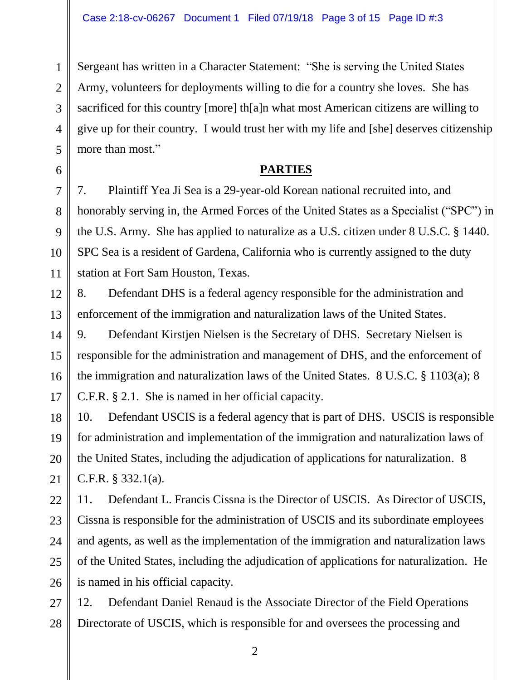Sergeant has written in a Character Statement: "She is serving the United States Army, volunteers for deployments willing to die for a country she loves. She has sacrificed for this country [more] th[a]n what most American citizens are willing to give up for their country. I would trust her with my life and [she] deserves citizenship more than most."

#### **PARTIES**

7. Plaintiff Yea Ji Sea is a 29-year-old Korean national recruited into, and honorably serving in, the Armed Forces of the United States as a Specialist ("SPC") in the U.S. Army. She has applied to naturalize as a U.S. citizen under 8 U.S.C. § 1440. SPC Sea is a resident of Gardena, California who is currently assigned to the duty station at Fort Sam Houston, Texas.

8. Defendant DHS is a federal agency responsible for the administration and enforcement of the immigration and naturalization laws of the United States.

9. Defendant Kirstjen Nielsen is the Secretary of DHS. Secretary Nielsen is responsible for the administration and management of DHS, and the enforcement of the immigration and naturalization laws of the United States. 8 U.S.C. § 1103(a); 8 C.F.R. § 2.1. She is named in her official capacity.

10. Defendant USCIS is a federal agency that is part of DHS. USCIS is responsible for administration and implementation of the immigration and naturalization laws of the United States, including the adjudication of applications for naturalization. 8 C.F.R. § 332.1(a).

11. Defendant L. Francis Cissna is the Director of USCIS. As Director of USCIS, Cissna is responsible for the administration of USCIS and its subordinate employees and agents, as well as the implementation of the immigration and naturalization laws of the United States, including the adjudication of applications for naturalization. He is named in his official capacity.

12. Defendant Daniel Renaud is the Associate Director of the Field Operations Directorate of USCIS, which is responsible for and oversees the processing and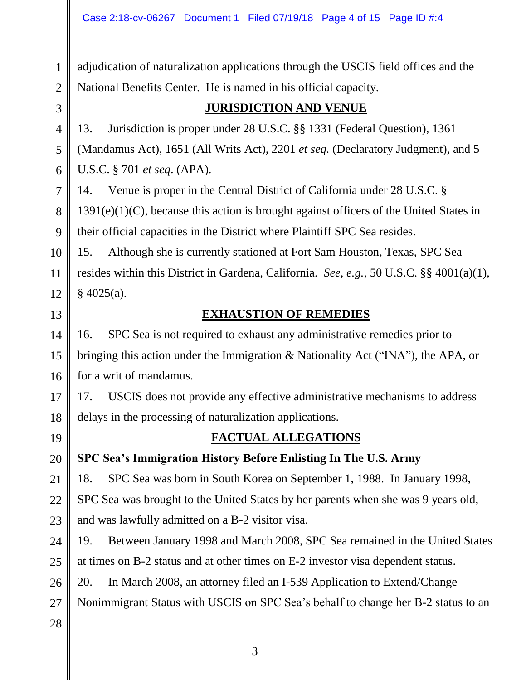adjudication of naturalization applications through the USCIS field offices and the National Benefits Center. He is named in his official capacity.

1

#### **JURISDICTION AND VENUE**

13. Jurisdiction is proper under 28 U.S.C. §§ 1331 (Federal Question), 1361 (Mandamus Act), 1651 (All Writs Act), 2201 *et seq.* (Declaratory Judgment), and 5 U.S.C. § 701 *et seq*. (APA).

14. Venue is proper in the Central District of California under 28 U.S.C. § 1391(e)(1)(C), because this action is brought against officers of the United States in their official capacities in the District where Plaintiff SPC Sea resides.

15. Although she is currently stationed at Fort Sam Houston, Texas, SPC Sea resides within this District in Gardena, California. *See, e.g.*, 50 U.S.C. §§ 4001(a)(1),  $§$  4025(a).

### **EXHAUSTION OF REMEDIES**

16. SPC Sea is not required to exhaust any administrative remedies prior to bringing this action under the Immigration & Nationality Act ("INA"), the APA, or for a writ of mandamus.

17. USCIS does not provide any effective administrative mechanisms to address delays in the processing of naturalization applications.

## **FACTUAL ALLEGATIONS**

**SPC Sea's Immigration History Before Enlisting In The U.S. Army**

18. SPC Sea was born in South Korea on September 1, 1988. In January 1998, SPC Sea was brought to the United States by her parents when she was 9 years old, and was lawfully admitted on a B-2 visitor visa.

19. Between January 1998 and March 2008, SPC Sea remained in the United States at times on B-2 status and at other times on E-2 investor visa dependent status.

20. In March 2008, an attorney filed an I-539 Application to Extend/Change

Nonimmigrant Status with USCIS on SPC Sea's behalf to change her B-2 status to an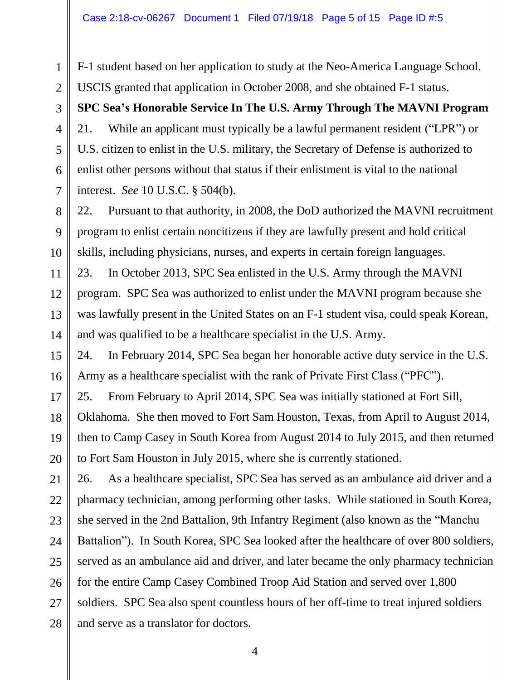28

F-1 student based on her application to study at the Neo-America Language School. USCIS granted that application in October 2008, and she obtained F-1 status.

**SPC Sea's Honorable Service In The U.S. Army Through The MAVNI Program** 21. While an applicant must typically be a lawful permanent resident ("LPR") or U.S. citizen to enlist in the U.S. military, the Secretary of Defense is authorized to enlist other persons without that status if their enlistment is vital to the national interest. *See* 10 U.S.C. § 504(b).

22. Pursuant to that authority, in 2008, the DoD authorized the MAVNI recruitment program to enlist certain noncitizens if they are lawfully present and hold critical skills, including physicians, nurses, and experts in certain foreign languages.

23. In October 2013, SPC Sea enlisted in the U.S. Army through the MAVNI program. SPC Sea was authorized to enlist under the MAVNI program because she was lawfully present in the United States on an F-1 student visa, could speak Korean, and was qualified to be a healthcare specialist in the U.S. Army.

24. In February 2014, SPC Sea began her honorable active duty service in the U.S. Army as a healthcare specialist with the rank of Private First Class ("PFC").

25. From February to April 2014, SPC Sea was initially stationed at Fort Sill,

Oklahoma. She then moved to Fort Sam Houston, Texas, from April to August 2014, then to Camp Casey in South Korea from August 2014 to July 2015, and then returned to Fort Sam Houston in July 2015, where she is currently stationed.

26. As a healthcare specialist, SPC Sea has served as an ambulance aid driver and a pharmacy technician, among performing other tasks. While stationed in South Korea, she served in the 2nd Battalion, 9th Infantry Regiment (also known as the "Manchu Battalion"). In South Korea, SPC Sea looked after the healthcare of over 800 soldiers, served as an ambulance aid and driver, and later became the only pharmacy technician for the entire Camp Casey Combined Troop Aid Station and served over 1,800 soldiers. SPC Sea also spent countless hours of her off-time to treat injured soldiers and serve as a translator for doctors.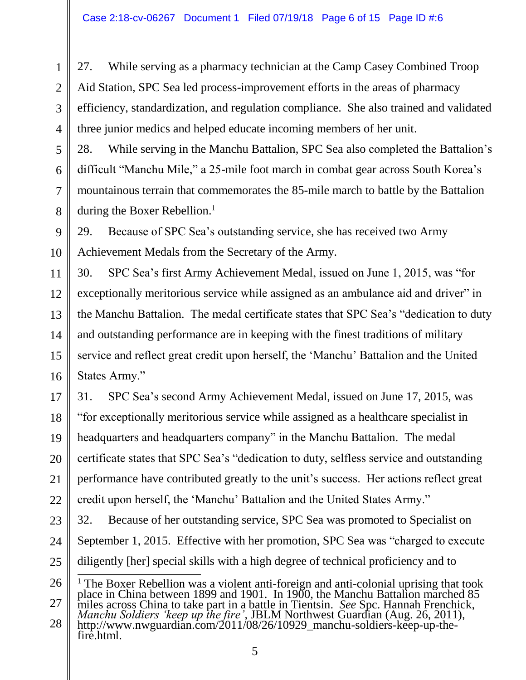27. While serving as a pharmacy technician at the Camp Casey Combined Troop Aid Station, SPC Sea led process-improvement efforts in the areas of pharmacy efficiency, standardization, and regulation compliance. She also trained and validated three junior medics and helped educate incoming members of her unit.

28. While serving in the Manchu Battalion, SPC Sea also completed the Battalion's difficult "Manchu Mile," a 25-mile foot march in combat gear across South Korea's mountainous terrain that commemorates the 85-mile march to battle by the Battalion during the Boxer Rebellion. $<sup>1</sup>$ </sup>

29. Because of SPC Sea's outstanding service, she has received two Army Achievement Medals from the Secretary of the Army.

30. SPC Sea's first Army Achievement Medal, issued on June 1, 2015, was "for exceptionally meritorious service while assigned as an ambulance aid and driver" in the Manchu Battalion. The medal certificate states that SPC Sea's "dedication to duty and outstanding performance are in keeping with the finest traditions of military service and reflect great credit upon herself, the 'Manchu' Battalion and the United States Army."

31. SPC Sea's second Army Achievement Medal, issued on June 17, 2015, was "for exceptionally meritorious service while assigned as a healthcare specialist in headquarters and headquarters company" in the Manchu Battalion. The medal certificate states that SPC Sea's "dedication to duty, selfless service and outstanding performance have contributed greatly to the unit's success. Her actions reflect great credit upon herself, the 'Manchu' Battalion and the United States Army."

32. Because of her outstanding service, SPC Sea was promoted to Specialist on September 1, 2015. Effective with her promotion, SPC Sea was "charged to execute diligently [her] special skills with a high degree of technical proficiency and to

 $\frac{1}{1}$ <sup>1</sup> The Boxer Rebellion was a violent anti-foreign and anti-colonial uprising that took place in China between 1899 and 1901. In 1900, the Manchu Battalion marched 85 miles across China to take part in a battle in Tientsin. *See* Spc. Hannah Frenchick, *Manchu Soldiers 'keep up the fire'*, JBLM Northwest Guardian (Aug. 26, 2011), http://www.nwguardian.com/2011/08/26/10929\_manchu-soldiers-keep-up-thefire.html.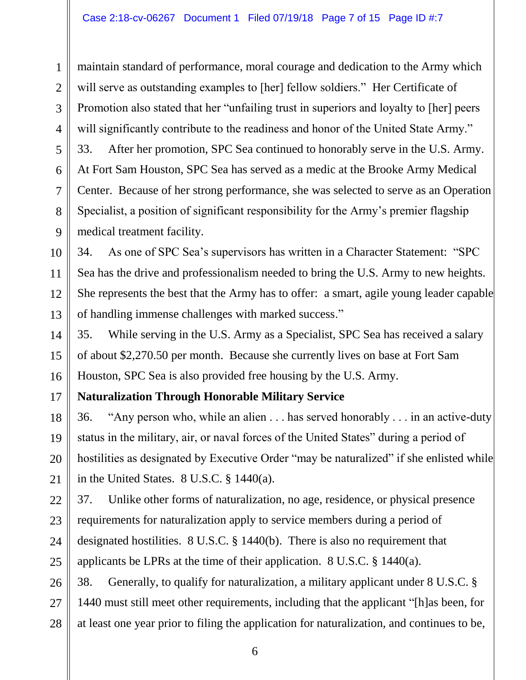maintain standard of performance, moral courage and dedication to the Army which will serve as outstanding examples to [her] fellow soldiers." Her Certificate of Promotion also stated that her "unfailing trust in superiors and loyalty to [her] peers will significantly contribute to the readiness and honor of the United State Army." 33. After her promotion, SPC Sea continued to honorably serve in the U.S. Army. At Fort Sam Houston, SPC Sea has served as a medic at the Brooke Army Medical Center. Because of her strong performance, she was selected to serve as an Operation Specialist, a position of significant responsibility for the Army's premier flagship medical treatment facility.

34. As one of SPC Sea's supervisors has written in a Character Statement: "SPC Sea has the drive and professionalism needed to bring the U.S. Army to new heights. She represents the best that the Army has to offer: a smart, agile young leader capable of handling immense challenges with marked success."

35. While serving in the U.S. Army as a Specialist, SPC Sea has received a salary of about \$2,270.50 per month. Because she currently lives on base at Fort Sam Houston, SPC Sea is also provided free housing by the U.S. Army.

# **Naturalization Through Honorable Military Service**

36. "Any person who, while an alien . . . has served honorably . . . in an active-duty status in the military, air, or naval forces of the United States" during a period of hostilities as designated by Executive Order "may be naturalized" if she enlisted while in the United States. 8 U.S.C. § 1440(a).

37. Unlike other forms of naturalization, no age, residence, or physical presence requirements for naturalization apply to service members during a period of designated hostilities. 8 U.S.C. § 1440(b). There is also no requirement that applicants be LPRs at the time of their application. 8 U.S.C. § 1440(a).

38. Generally, to qualify for naturalization, a military applicant under 8 U.S.C. § 1440 must still meet other requirements, including that the applicant "[h]as been, for at least one year prior to filing the application for naturalization, and continues to be,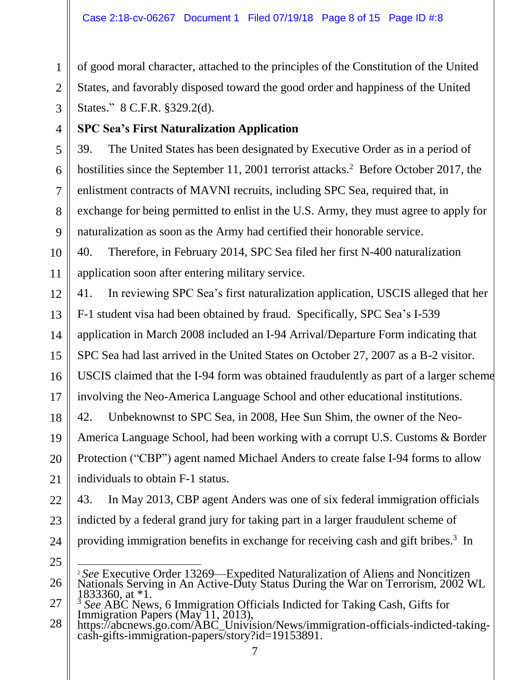of good moral character, attached to the principles of the Constitution of the United States, and favorably disposed toward the good order and happiness of the United States." 8 C.F.R. §329.2(d).

## **SPC Sea's First Naturalization Application**

39. The United States has been designated by Executive Order as in a period of hostilities since the September 11, 2001 terrorist attacks.<sup>2</sup> Before October 2017, the enlistment contracts of MAVNI recruits, including SPC Sea, required that, in exchange for being permitted to enlist in the U.S. Army, they must agree to apply for naturalization as soon as the Army had certified their honorable service.

40. Therefore, in February 2014, SPC Sea filed her first N-400 naturalization application soon after entering military service.

41. In reviewing SPC Sea's first naturalization application, USCIS alleged that her F-1 student visa had been obtained by fraud. Specifically, SPC Sea's I-539 application in March 2008 included an I-94 Arrival/Departure Form indicating that

SPC Sea had last arrived in the United States on October 27, 2007 as a B-2 visitor.

USCIS claimed that the I-94 form was obtained fraudulently as part of a larger scheme involving the Neo-America Language School and other educational institutions.

42. Unbeknownst to SPC Sea, in 2008, Hee Sun Shim, the owner of the Neo-America Language School, had been working with a corrupt U.S. Customs & Border Protection ("CBP") agent named Michael Anders to create false I-94 forms to allow

individuals to obtain F-1 status.

43. In May 2013, CBP agent Anders was one of six federal immigration officials indicted by a federal grand jury for taking part in a larger fraudulent scheme of providing immigration benefits in exchange for receiving cash and gift bribes.<sup>3</sup> In

l <sup>2</sup> *See* Executive Order 13269—Expedited Naturalization of Aliens and Noncitizen Nationals Serving in An Active-Duty Status During the War on Terrorism, 2002 WL 1833360, at \*1.

<sup>&</sup>lt;sup>3</sup> See ABC News, 6 Immigration Officials Indicted for Taking Cash, Gifts for Immigration Papers (May 11, 2013),

https://abcnews.go.com/ABC\_Univision/News/immigration-officials-indicted-takingcash-gifts-immigration-papers/story?id=19153891.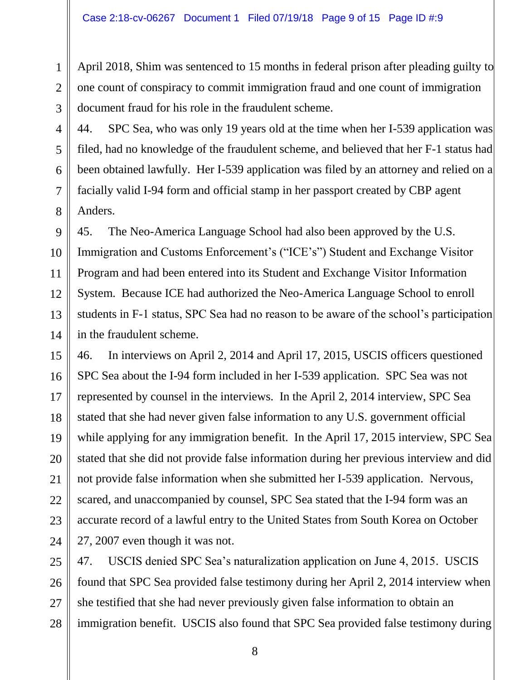April 2018, Shim was sentenced to 15 months in federal prison after pleading guilty to one count of conspiracy to commit immigration fraud and one count of immigration document fraud for his role in the fraudulent scheme.

44. SPC Sea, who was only 19 years old at the time when her I-539 application was filed, had no knowledge of the fraudulent scheme, and believed that her F-1 status had been obtained lawfully. Her I-539 application was filed by an attorney and relied on a facially valid I-94 form and official stamp in her passport created by CBP agent Anders.

45. The Neo-America Language School had also been approved by the U.S. Immigration and Customs Enforcement's ("ICE's") Student and Exchange Visitor Program and had been entered into its Student and Exchange Visitor Information System. Because ICE had authorized the Neo-America Language School to enroll students in F-1 status, SPC Sea had no reason to be aware of the school's participation in the fraudulent scheme.

46. In interviews on April 2, 2014 and April 17, 2015, USCIS officers questioned SPC Sea about the I-94 form included in her I-539 application. SPC Sea was not represented by counsel in the interviews. In the April 2, 2014 interview, SPC Sea stated that she had never given false information to any U.S. government official while applying for any immigration benefit. In the April 17, 2015 interview, SPC Sea stated that she did not provide false information during her previous interview and did not provide false information when she submitted her I-539 application. Nervous, scared, and unaccompanied by counsel, SPC Sea stated that the I-94 form was an accurate record of a lawful entry to the United States from South Korea on October 27, 2007 even though it was not.

47. USCIS denied SPC Sea's naturalization application on June 4, 2015. USCIS found that SPC Sea provided false testimony during her April 2, 2014 interview when she testified that she had never previously given false information to obtain an immigration benefit. USCIS also found that SPC Sea provided false testimony during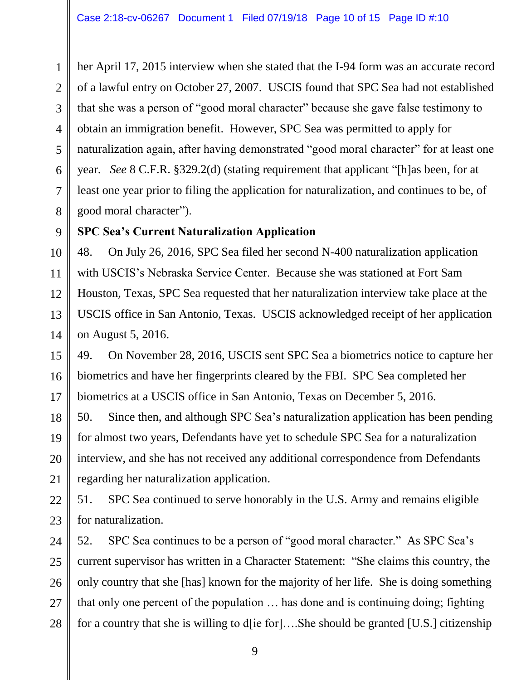her April 17, 2015 interview when she stated that the I-94 form was an accurate record of a lawful entry on October 27, 2007. USCIS found that SPC Sea had not established that she was a person of "good moral character" because she gave false testimony to obtain an immigration benefit. However, SPC Sea was permitted to apply for naturalization again, after having demonstrated "good moral character" for at least one year. *See* 8 C.F.R. §329.2(d) (stating requirement that applicant "[h]as been, for at least one year prior to filing the application for naturalization, and continues to be, of good moral character").

#### **SPC Sea's Current Naturalization Application**

48. On July 26, 2016, SPC Sea filed her second N-400 naturalization application with USCIS's Nebraska Service Center. Because she was stationed at Fort Sam Houston, Texas, SPC Sea requested that her naturalization interview take place at the USCIS office in San Antonio, Texas. USCIS acknowledged receipt of her application on August 5, 2016.

49. On November 28, 2016, USCIS sent SPC Sea a biometrics notice to capture her biometrics and have her fingerprints cleared by the FBI. SPC Sea completed her biometrics at a USCIS office in San Antonio, Texas on December 5, 2016.

50. Since then, and although SPC Sea's naturalization application has been pending for almost two years, Defendants have yet to schedule SPC Sea for a naturalization interview, and she has not received any additional correspondence from Defendants regarding her naturalization application.

51. SPC Sea continued to serve honorably in the U.S. Army and remains eligible for naturalization.

52. SPC Sea continues to be a person of "good moral character." As SPC Sea's current supervisor has written in a Character Statement: "She claims this country, the only country that she [has] known for the majority of her life. She is doing something that only one percent of the population … has done and is continuing doing; fighting for a country that she is willing to d[ie for]....She should be granted [U.S.] citizenship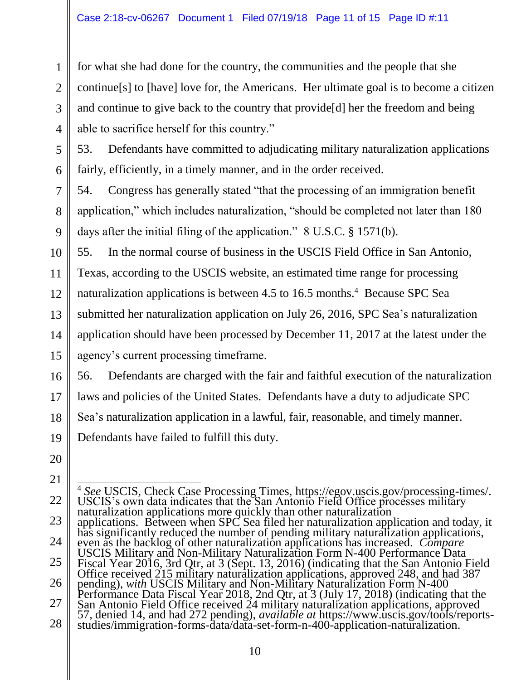for what she had done for the country, the communities and the people that she continue[s] to [have] love for, the Americans. Her ultimate goal is to become a citizen and continue to give back to the country that provide[d] her the freedom and being able to sacrifice herself for this country."

53. Defendants have committed to adjudicating military naturalization applications fairly, efficiently, in a timely manner, and in the order received.

54. Congress has generally stated "that the processing of an immigration benefit application," which includes naturalization, "should be completed not later than 180 days after the initial filing of the application." 8 U.S.C. § 1571(b).

55. In the normal course of business in the USCIS Field Office in San Antonio, Texas, according to the USCIS website, an estimated time range for processing naturalization applications is between 4.5 to 16.5 months.<sup>4</sup> Because SPC Sea submitted her naturalization application on July 26, 2016, SPC Sea's naturalization application should have been processed by December 11, 2017 at the latest under the agency's current processing timeframe.

56. Defendants are charged with the fair and faithful execution of the naturalization laws and policies of the United States. Defendants have a duty to adjudicate SPC Sea's naturalization application in a lawful, fair, reasonable, and timely manner. Defendants have failed to fulfill this duty.

 $\overline{1}$ <sup>4</sup> *See* USCIS, Check Case Processing Times, https://egov.uscis.gov/processing-times/. USCIS's own data indicates that the San Antonio Field Office processes military naturalization applications more quickly than other naturalization applications. Between when SPC Sea filed her naturalization application and today, it has significantly reduced the number of pending military naturalization applications, even as the backlog of other naturalization applications has increased. *Compare*  USCIS Military and Non-Military Naturalization Form N-400 Performance Data Fiscal Year 2016, 3rd Qtr, at 3 (Sept. 13, 2016) (indicating that the San Antonio Field Office received 215 military naturalization applications, approved 248, and had 387 pending), *with* USCIS Military and Non-Military Naturalization Form N-400 Performance Data Fiscal Year 2018, 2nd Qtr, at 3 (July 17, 2018) (indicating that the San Antonio Field Office received 24 military naturalization applications, approved 57, denied 14, and had 272 pending), *available at* https://www.uscis.gov/tools/reportsstudies/immigration-forms-data/data-set-form-n-400-application-naturalization.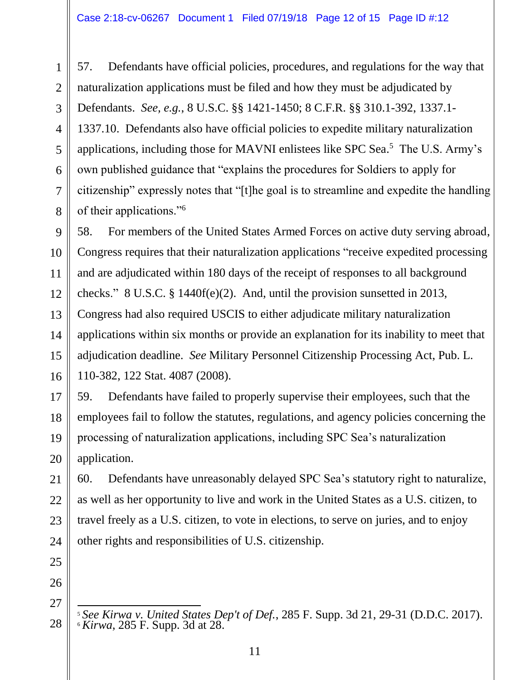57. Defendants have official policies, procedures, and regulations for the way that naturalization applications must be filed and how they must be adjudicated by Defendants. *See, e.g.*, 8 U.S.C. §§ 1421-1450; 8 C.F.R. §§ 310.1-392, 1337.1- 1337.10. Defendants also have official policies to expedite military naturalization applications, including those for MAVNI enlistees like SPC Sea.<sup>5</sup> The U.S. Army's own published guidance that "explains the procedures for Soldiers to apply for citizenship" expressly notes that "[t]he goal is to streamline and expedite the handling of their applications."<sup>6</sup>

58. For members of the United States Armed Forces on active duty serving abroad, Congress requires that their naturalization applications "receive expedited processing and are adjudicated within 180 days of the receipt of responses to all background checks." 8 U.S.C. § 1440f(e)(2). And, until the provision sunsetted in 2013, Congress had also required USCIS to either adjudicate military naturalization applications within six months or provide an explanation for its inability to meet that adjudication deadline. *See* Military Personnel Citizenship Processing Act, Pub. L. 110-382, 122 Stat. 4087 (2008).

59. Defendants have failed to properly supervise their employees, such that the employees fail to follow the statutes, regulations, and agency policies concerning the processing of naturalization applications, including SPC Sea's naturalization application.

60. Defendants have unreasonably delayed SPC Sea's statutory right to naturalize, as well as her opportunity to live and work in the United States as a U.S. citizen, to travel freely as a U.S. citizen, to vote in elections, to serve on juries, and to enjoy other rights and responsibilities of U.S. citizenship.

l <sup>5</sup> *See Kirwa v. United States Dep't of Def.*, 285 F. Supp. 3d 21, 29-31 (D.D.C. 2017). <sup>6</sup> *Kirwa*, 285 F. Supp. 3d at 28.

1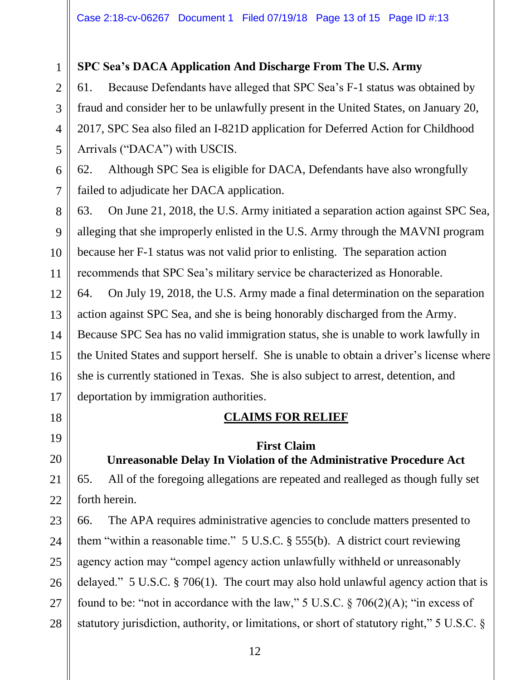## **SPC Sea's DACA Application And Discharge From The U.S. Army**

61. Because Defendants have alleged that SPC Sea's F-1 status was obtained by fraud and consider her to be unlawfully present in the United States, on January 20, 2017, SPC Sea also filed an I-821D application for Deferred Action for Childhood Arrivals ("DACA") with USCIS.

62. Although SPC Sea is eligible for DACA, Defendants have also wrongfully failed to adjudicate her DACA application.

63. On June 21, 2018, the U.S. Army initiated a separation action against SPC Sea, alleging that she improperly enlisted in the U.S. Army through the MAVNI program because her F-1 status was not valid prior to enlisting. The separation action recommends that SPC Sea's military service be characterized as Honorable.

64. On July 19, 2018, the U.S. Army made a final determination on the separation action against SPC Sea, and she is being honorably discharged from the Army. Because SPC Sea has no valid immigration status, she is unable to work lawfully in the United States and support herself. She is unable to obtain a driver's license where she is currently stationed in Texas. She is also subject to arrest, detention, and deportation by immigration authorities.

## **CLAIMS FOR RELIEF**

## **First Claim Unreasonable Delay In Violation of the Administrative Procedure Act**

65. All of the foregoing allegations are repeated and realleged as though fully set forth herein.

66. The APA requires administrative agencies to conclude matters presented to them "within a reasonable time." 5 U.S.C. § 555(b). A district court reviewing agency action may "compel agency action unlawfully withheld or unreasonably delayed." 5 U.S.C. § 706(1). The court may also hold unlawful agency action that is found to be: "not in accordance with the law," 5 U.S.C.  $\S 706(2)(A)$ ; "in excess of statutory jurisdiction, authority, or limitations, or short of statutory right," 5 U.S.C. §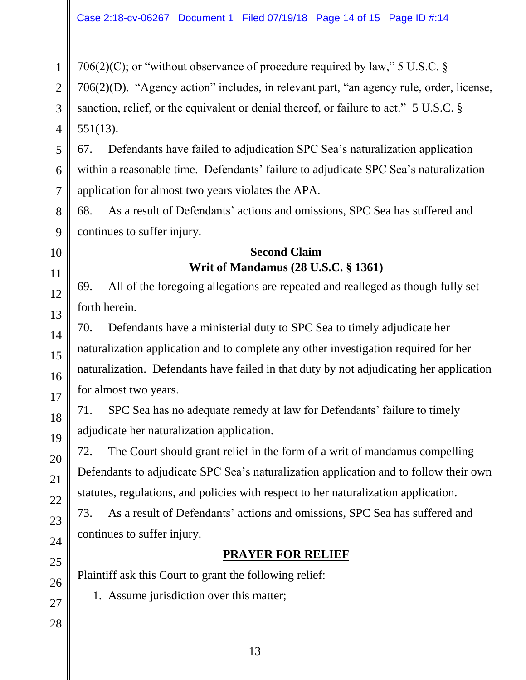706(2)(C); or "without observance of procedure required by law," 5 U.S.C.  $\S$ 

706(2)(D). "Agency action" includes, in relevant part, "an agency rule, order, license, sanction, relief, or the equivalent or denial thereof, or failure to act." 5 U.S.C. § 551(13).

67. Defendants have failed to adjudication SPC Sea's naturalization application within a reasonable time. Defendants' failure to adjudicate SPC Sea's naturalization application for almost two years violates the APA.

68. As a result of Defendants' actions and omissions, SPC Sea has suffered and continues to suffer injury.

## **Second Claim Writ of Mandamus (28 U.S.C. § 1361)**

69. All of the foregoing allegations are repeated and realleged as though fully set forth herein.

70. Defendants have a ministerial duty to SPC Sea to timely adjudicate her naturalization application and to complete any other investigation required for her naturalization. Defendants have failed in that duty by not adjudicating her application for almost two years.

71. SPC Sea has no adequate remedy at law for Defendants' failure to timely adjudicate her naturalization application.

72. The Court should grant relief in the form of a writ of mandamus compelling Defendants to adjudicate SPC Sea's naturalization application and to follow their own statutes, regulations, and policies with respect to her naturalization application.

73. As a result of Defendants' actions and omissions, SPC Sea has suffered and continues to suffer injury.

# **PRAYER FOR RELIEF**

Plaintiff ask this Court to grant the following relief:

1. Assume jurisdiction over this matter;